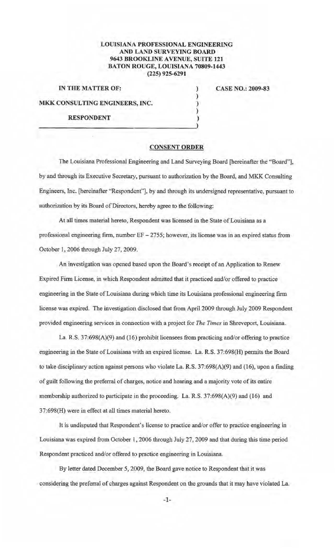## LOUISIANA PROFESSIONAL ENGINEERING AND LAND SURVEYING BOARD 9643 BROOKLINE AVENUE, SUITE 121 BATON ROUGE, LOUISIANA 70809-1443 (225) 925-6291

IN THE MATTER OF: MKK CONSULTING ENGINEERS, INC. RESPONDENT (1) CASE NO.: 2009-83

## CONSENT ORDER

) ) ) )

The Louisiana Professional Engineering and Land Surveying Board [hereinafter the "Board"], by and through its Executive Secretary, pursuant to authorization by the Board, and MKK Consulting Engineers, Inc. [hereinafter "Respondent"], by and through its undersigned representative, pursuant to authorization by its Board of Directors, hereby agree to the following:

At all times material hereto, Respondent was licensed in the State of Louisiana as a professional engineering firm, number EF - 2755; however, its license was in an expired status from October 1, 2006 through July 27, 2009.

An investigation was opened based upon the Board's receipt of an Application to Renew Expired Firm License, in which Respondent admitted that it practiced and/or offered to practice engineering in the State of Louisiana during which time its Louisiana professional engineering firm license was expired. The investigation disclosed that from April 2009 through July 2009 Respondent provided engineering services in connection with a project for *The Times* in Shreveport, Louisiana.

La. R.S. 37:698(A)(9) and (16) prohibit licensees from practicing and/or offering to practice engineering in the State of Louisiana with an expired license. La. R.S. 37:698(H) pennits the Board to take disciplinary action against persons who violate La. R.S.  $37:698(A)(9)$  and (16), upon a finding of guilt following the preferral of charges, notice and hearing and a majority vote of its entire membership authorized to participate in the proceeding. La. R.S. 37:698(A)(9) and (l6) and 37:698(H) were in effect at all times material hereto.

It is undisputed that Respondent's license to practice and/or offer to practice engineering in Louisiana was expired from October 1, 2006 through July 27, 2009 and that during this time period Respondent practiced and/or offered to practice engineering in Louisiana.

By letter dated December 5, 2009, the Board gave notice to Respondent that it was considering the preferral of charges against Respondent on the grounds that it may have violated La.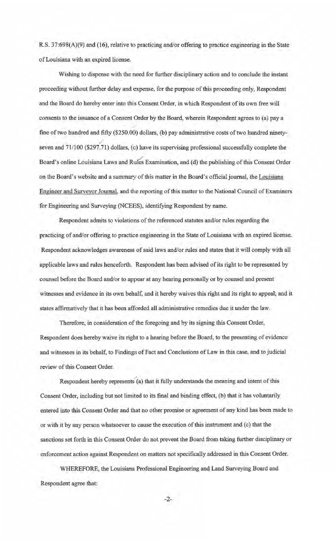R.S. 37:698(A)(9) and (16), relative to practicing and/or offering to practice engineering in the State of Louisiana with an expired license.

Wishing to dispense with the need for further disciplinary action and to conclude the instant proceeding without further delay and expense, for the purpose of this proceeding only, Respondent and the Board do hereby enter into this Consent Order, in which Respondent of its own free will consents to the issuance of a Consent Order by the Board, wherein Respondent agrees to (a) pay a fme of two hundred and fifty (\$250.00) dollars, (b) pay administrative costs of two hundred ninety- ., seven and 7 1/100 (\$297.71) dollars, (e) have its supervising professional successfully complete the Board's online Louisiana Laws and Rules Examination, and (d) the publishing of this Consent Order on the Board's website and a summary of this matter in the Board's official journal, the Louisiana Engineer and Surveyor Journal, and the reporting of this matter to the National Council of Examiners for Engineering and Surveying (NCEES), identifying Respondent by name.

Respondent admits to violations of the referenced statutes and/or rules regarding the practicing of and/or offering to practice engineering in the State of Louisiana with an expired license. Respondent acknowledges awareness of said laws and/or rules and states that it will comply with all applicable laws and rules henceforth. Respondent bas been advised of its right to be represented by counsel before the Board and/or to appear at any hearing personally or by counsel and present witnesses and evidence in its own behalf, and it hereby waives this right and its right to appeal; and it states affirmatively that it has been afforded all administrative remedies due it under the law.

Therefore, in consideration of the foregoing and by its signing this Consent Order, Respondent does hereby waive its right to a hearing before the Board, to the presenting of evidence and witnesses in its behalf, to Findings of Fact and Conclusions of Law in this case, and to judicial review of this Consent Order.

Respondent hereby represents (a) that it fully understands the meaning and intent of this Consent Order, including but not limited to its final and binding effect, (b) that it has voluntarily entered into this Consent Order and that no other promise or agreement of any kind has been made to or with it by any person whatsoever to cause the execution of this instrument and (c) that the sanctions set forth in this Consent Order do not prevent the Board from taking further disciplinary or enforcement action against Respondent on matters not specifically addressed in this Consent Order.

WHEREFORE, the Louisiana Professional Engineering and Land Surveying Board and Respondent agree that:

-2-